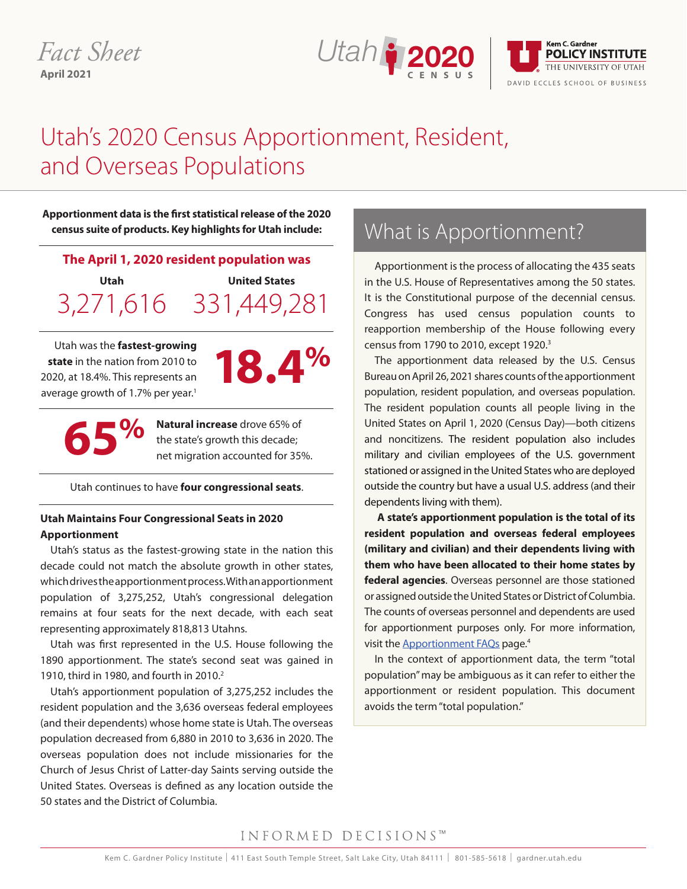### *Fact Sheet* **April 2021**





# Utah's 2020 Census Apportionment, Resident, and Overseas Populations

**Apportionment data is the first statistical release of the 2020 census suite of products. Key highlights for Utah include:**

#### **The April 1, 2020 resident population was**

**Utah**  3,271,616 331,449,281 **United States** 

Utah was the **fastest-growing state** in the nation from 2010 to 2020, at 18.4%. This represents an average growth of 1.7% per year.<sup>1</sup>



**65%**

**Natural increase** drove 65% of the state's growth this decade; net migration accounted for 35%.

Utah continues to have **four congressional seats**.

#### **Utah Maintains Four Congressional Seats in 2020 Apportionment**

Utah's status as the fastest-growing state in the nation this decade could not match the absolute growth in other states, which drives the apportionment process. With an apportionment population of 3,275,252, Utah's congressional delegation remains at four seats for the next decade, with each seat representing approximately 818,813 Utahns.

Utah was first represented in the U.S. House following the 1890 apportionment. The state's second seat was gained in 1910, third in 1980, and fourth in 2010.<sup>2</sup>

Utah's apportionment population of 3,275,252 includes the resident population and the 3,636 overseas federal employees (and their dependents) whose home state is Utah. The overseas population decreased from 6,880 in 2010 to 3,636 in 2020. The overseas population does not include missionaries for the Church of Jesus Christ of Latter-day Saints serving outside the United States. Overseas is defined as any location outside the 50 states and the District of Columbia.

## What is Apportionment?

Apportionment is the process of allocating the 435 seats in the U.S. House of Representatives among the 50 states. It is the Constitutional purpose of the decennial census. Congress has used census population counts to reapportion membership of the House following every census from 1790 to 2010, except 1920.<sup>3</sup>

The apportionment data released by the U.S. Census Bureau on April 26, 2021 shares counts of the apportionment population, resident population, and overseas population. The resident population counts all people living in the United States on April 1, 2020 (Census Day)—both citizens and noncitizens. The resident population also includes military and civilian employees of the U.S. government stationed or assigned in the United States who are deployed outside the country but have a usual U.S. address (and their dependents living with them).

**A state's apportionment population is the total of its resident population and overseas federal employees (military and civilian) and their dependents living with them who have been allocated to their home states by federal agencies**. Overseas personnel are those stationed or assigned outside the United States or District of Columbia. The counts of overseas personnel and dependents are used for apportionment purposes only. For more information, visit the Apportionment FAQs page.4

In the context of apportionment data, the term "total population" may be ambiguous as it can refer to either the apportionment or resident population. This document avoids the term "total population."

#### INFORMED DECISIONS™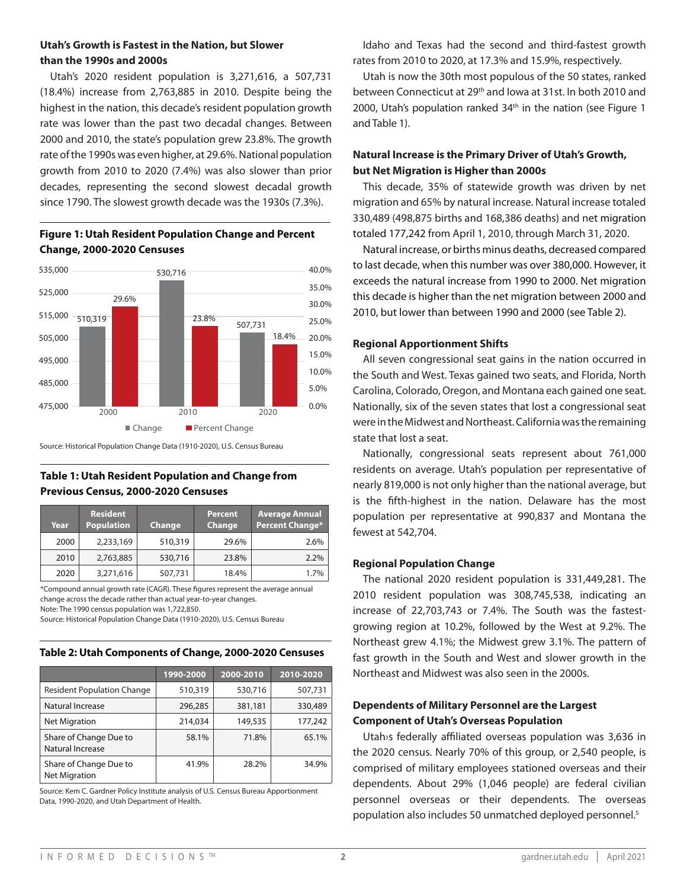#### **Utah's Growth is Fastest in the Nation, but Slower than the 1990s and 2000s**

Utah's 2020 resident population is 3,271,616, a 507,731 (18.4%) increase from 2,763,885 in 2010. Despite being the highest in the nation, this decade's resident population growth rate was lower than the past two decadal changes. Between 2000 and 2010, the state's population grew 23.8%. The growth rate of the 1990s was even higher, at 29.6%. National population growth from 2010 to 2020 (7.4%) was also slower than prior decades, representing the second slowest decadal growth since 1790. The slowest growth decade was the 1930s (7.3%).



#### **Figure 1: Utah Resident Population Change and Percent Change, 2000-2020 Censuses**

Source: Historical Population Change Data (1910-2020), U.S. Census Bureau

#### **Table 1: Utah Resident Population and Change from Previous Census, 2000-2020 Censuses**

| <b>U</b> UIL IIIUI IIIUI<br>population per<br>fewest at 542,70 | <b>Average Annual</b><br><b>Percent Change*</b> | <b>Percent</b><br>Change | Change  | <b>Resident</b><br><b>Population</b> | Year |
|----------------------------------------------------------------|-------------------------------------------------|--------------------------|---------|--------------------------------------|------|
|                                                                | 2.6%                                            | 29.6%                    | 510,319 | 2,233,169                            | 2000 |
| <b>Regional Popul</b>                                          | 2.2%                                            | 23.8%                    | 530,716 | 2,763,885                            | 2010 |
| The national                                                   | 1.7%                                            | 18.4%                    | 507,731 | 3,271,616                            | 2020 |

\*Compound annual growth rate (CAGR). These figures represent the average annual change across the decade rather than actual year-to-year changes.

Note: The 1990 census population was 1,722,850.

Source: Historical Population Change Data (1910-2020), U.S. Census Bureau

#### Table 2<mark>: Utah Components of Change, 2000-2020 Censuses</mark>

|                                                | 1990-2000 | 2000-2010 | 2010-2020 |
|------------------------------------------------|-----------|-----------|-----------|
| <b>Resident Population Change</b>              | 510,319   | 530,716   | 507,731   |
| Natural Increase                               | 296,285   | 381,181   | 330,489   |
| <b>Net Migration</b>                           | 214,034   | 149,535   | 177,242   |
| Share of Change Due to<br>Natural Increase     | 58.1%     | 71.8%     | 65.1%     |
| Share of Change Due to<br><b>Net Migration</b> | 41.9%     | 28.2%     | 34.9%     |

Source: Kem C. Gardner Policy Institute analysis of U.S. Census Bureau Apportionment Data, 1990-2020, and Utah Department of Health.

Idaho and Texas had the second and third-fastest growth rates from 2010 to 2020, at 17.3% and 15.9%, respectively.

Utah is now the 30th most populous of the 50 states, ranked between Connecticut at 29th and Iowa at 31st. In both 2010 and 2000, Utah's population ranked  $34<sup>th</sup>$  in the nation (see Figure 1 and Table 1).

#### **Natural Increase is the Primary Driver of Utah's Growth, but Net Migration is Higher than 2000s**

This decade, 35% of statewide growth was driven by net migration and 65% by natural increase. Natural increase totaled 330,489 (498,875 births and 168,386 deaths) and net migration totaled 177,242 from April 1, 2010, through March 31, 2020.

Natural increase, or births minus deaths, decreased compared to last decade, when this number was over 380,000. However, it exceeds the natural increase from 1990 to 2000. Net migration this decade is higher than the net migration between 2000 and 2010, but lower than between 1990 and 2000 (see Table 2).

#### **Regional Apportionment Shifts**

All seven congressional seat gains in the nation occurred in the South and West. Texas gained two seats, and Florida, North Carolina, Colorado, Oregon, and Montana each gained one seat. Nationally, six of the seven states that lost a congressional seat were in the Midwest and Northeast. California was the remaining state that lost a seat.

Nationally, congressional seats represent about 761,000 residents on average. Utah's population per representative of nearly 819,000 is not only higher than the national average, but is the fifth-highest in the nation. Delaware has the most population per representative at 990,837 and Montana the fewest at 542,704.

#### Regional Population Change

The national 2020 resident population is 331,449,281. The 2010 resident population was 308,745,538, indicating an increase of 22,703,743 or 7.4%. The South was the fastestgrowing region at 10.2%, followed by the West at 9.2%. The Northeast grew 4.1%; the Midwest grew 3.1%. The pattern of 3.8% 2.8% fast growth in the South and West and slower growth in the Northeast and Midwest was also seen in the 2000s. e national 2020 resident population is 331,449,281 gicw, 3.0%<br>DC 14.6% DC 14.6% DC 14.6% DC 14.6% DC 14.6% DC 14.6% DC 14.6% DC 14.6% DC 14.6% DC 14.6% DC 14.6% DC 14.6% DC  $\frac{1}{2}$  7.4%. The South was the

### Dependents of Military Personnel are the Largest **Component of Utah's Overseas Population** FL 14.6%

Utah>s federally affiliated overseas population was 3,636 in the 2020 census. Nearly 70% of this group, or 2,540 people, is comprised of military employees stationed overseas and their dependents. About 29% (1,046 people) are federal civilian personnel overseas or their dependents. The overseas population also includes 50 unmatched deployed personnel.<sup>5</sup>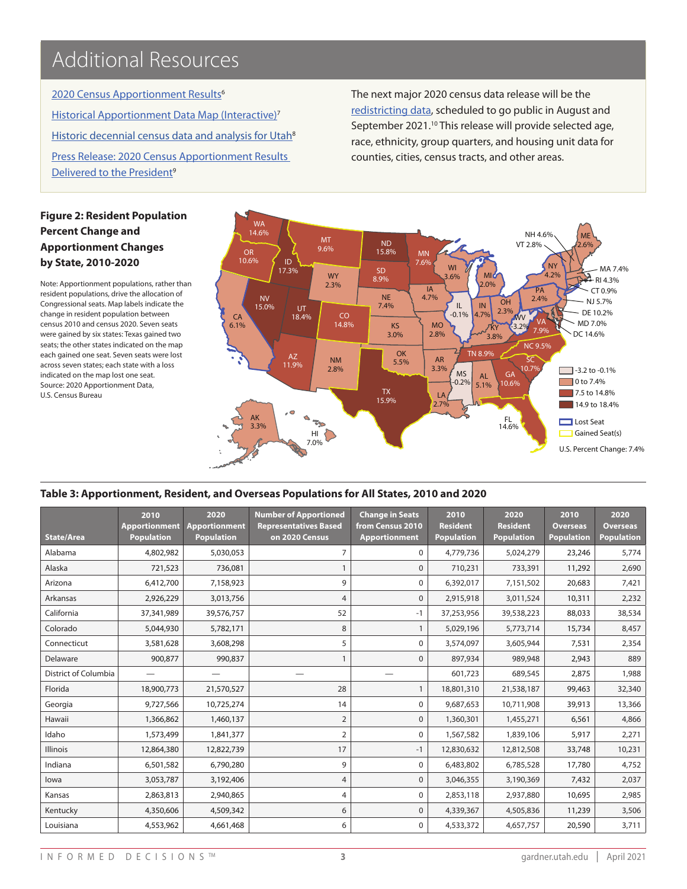## Additional Resources

475,000 Historical Apportionment Data Map (Interactive)<sup>7</sup> Historic decennial census data and analysis for Utah<sup>8</sup> 2020 Census Apportionment Results<sup>6</sup> Press Release: 2020 Census Apportionment Results Delivered to the President<sup>9</sup>

The next major 2020 census data release will be the redistricting data, scheduled to go public in August and September 2021.10 This release will provide selected age, race, ethnicity, group quarters, and housing unit data for counties, cities, census tracts, and other areas.

#### **Figure 2: Resident Population Percent Change and Apportionment Changes by State, 2010-2020**

485,000

505,000

Note: Apportionment populations, rather than resident populations, drive the allocation of Congressional seats. Map labels indicate the change in resident population between census 2010 and census 2020. Seven seats were gained by six states: Texas gained two seats; the other states indicated on the map each gained one seat. Seven seats were lost across seven states; each state with a loss indicated on the map lost one seat. Source: 2020 Apportionment Data, U.S. Census Bureau



#### **Table 3: Apportionment, Resident, and Overseas Populations for All States, 2010 and 2020**

| <b>State/Area</b>    | 2010<br><b>Apportionment</b><br><b>Population</b> | 2020<br><b>Apportionment</b><br><b>Population</b> | <b>Number of Apportioned</b><br><b>Representatives Based</b><br>on 2020 Census | <b>Change in Seats</b><br>from Census 2010<br><b>Apportionment</b> | 2010<br><b>Resident</b><br><b>Population</b> | 2020<br><b>Resident</b><br><b>Population</b> | 2010<br><b>Overseas</b><br><b>Population</b> | 2020<br><b>Overseas</b><br><b>Population</b> |
|----------------------|---------------------------------------------------|---------------------------------------------------|--------------------------------------------------------------------------------|--------------------------------------------------------------------|----------------------------------------------|----------------------------------------------|----------------------------------------------|----------------------------------------------|
| Alabama              | 4,802,982                                         | 5,030,053                                         | $\overline{7}$                                                                 | $\mathbf 0$                                                        | 4,779,736                                    | 5,024,279                                    | 23,246                                       | 5,774                                        |
| Alaska               | 721,523                                           | 736,081                                           |                                                                                | $\Omega$                                                           | 710,231                                      | 733,391                                      | 11,292                                       | 2,690                                        |
| Arizona              | 6,412,700                                         | 7,158,923                                         | 9                                                                              | $\mathbf 0$                                                        | 6,392,017                                    | 7,151,502                                    | 20,683                                       | 7,421                                        |
| Arkansas             | 2,926,229                                         | 3,013,756                                         | 4                                                                              | $\Omega$                                                           | 2,915,918                                    | 3,011,524                                    | 10,311                                       | 2,232                                        |
| California           | 37,341,989                                        | 39,576,757                                        | 52                                                                             | $-1$                                                               | 37,253,956                                   | 39,538,223                                   | 88,033                                       | 38,534                                       |
| Colorado             | 5,044,930                                         | 5,782,171                                         | 8                                                                              | 1                                                                  | 5,029,196                                    | 5,773,714                                    | 15,734                                       | 8,457                                        |
| Connecticut          | 3,581,628                                         | 3,608,298                                         | 5                                                                              | $\Omega$                                                           | 3,574,097                                    | 3,605,944                                    | 7,531                                        | 2,354                                        |
| Delaware             | 900,877                                           | 990,837                                           | 1                                                                              | $\Omega$                                                           | 897,934                                      | 989,948                                      | 2,943                                        | 889                                          |
| District of Columbia |                                                   |                                                   |                                                                                |                                                                    | 601,723                                      | 689,545                                      | 2,875                                        | 1,988                                        |
| Florida              | 18,900,773                                        | 21,570,527                                        | 28                                                                             | 1                                                                  | 18,801,310                                   | 21,538,187                                   | 99,463                                       | 32,340                                       |
| Georgia              | 9,727,566                                         | 10,725,274                                        | 14                                                                             | $\Omega$                                                           | 9,687,653                                    | 10,711,908                                   | 39,913                                       | 13,366                                       |
| Hawaii               | 1,366,862                                         | 1,460,137                                         | $\overline{2}$                                                                 | 0                                                                  | 1,360,301                                    | 1,455,271                                    | 6,561                                        | 4,866                                        |
| Idaho                | 1,573,499                                         | 1,841,377                                         | $\overline{2}$                                                                 | $\Omega$                                                           | 1,567,582                                    | 1,839,106                                    | 5,917                                        | 2,271                                        |
| Illinois             | 12,864,380                                        | 12,822,739                                        | 17                                                                             | $-1$                                                               | 12,830,632                                   | 12,812,508                                   | 33,748                                       | 10,231                                       |
| Indiana              | 6,501,582                                         | 6,790,280                                         | 9                                                                              | $\Omega$                                                           | 6,483,802                                    | 6,785,528                                    | 17,780                                       | 4,752                                        |
| lowa                 | 3,053,787                                         | 3,192,406                                         | 4                                                                              | $\Omega$                                                           | 3,046,355                                    | 3,190,369                                    | 7,432                                        | 2,037                                        |
| Kansas               | 2,863,813                                         | 2,940,865                                         | 4                                                                              | $\mathbf 0$                                                        | 2,853,118                                    | 2,937,880                                    | 10,695                                       | 2,985                                        |
| Kentucky             | 4,350,606                                         | 4,509,342                                         | 6                                                                              | $\Omega$                                                           | 4,339,367                                    | 4,505,836                                    | 11,239                                       | 3,506                                        |
| Louisiana            | 4,553,962                                         | 4,661,468                                         | 6                                                                              | $\Omega$                                                           | 4,533,372                                    | 4,657,757                                    | 20,590                                       | 3,711                                        |

20.0%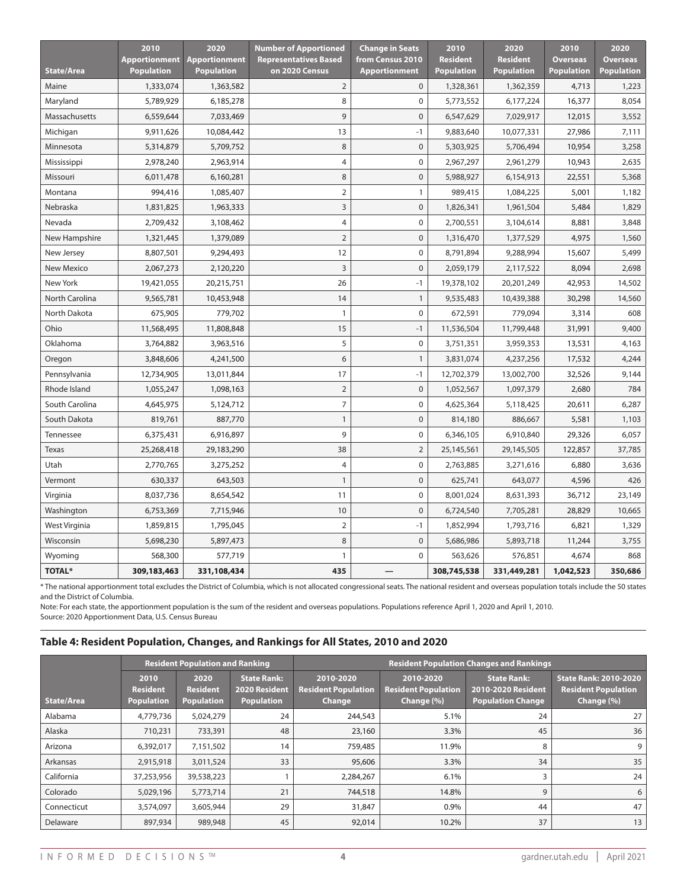|                   | 2010                 | 2020                 | <b>Number of Apportioned</b> | <b>Change in Seats</b> | 2010              | 2020              | 2010              | 2020              |
|-------------------|----------------------|----------------------|------------------------------|------------------------|-------------------|-------------------|-------------------|-------------------|
|                   | <b>Apportionment</b> | <b>Apportionment</b> | <b>Representatives Based</b> | from Census 2010       | <b>Resident</b>   | <b>Resident</b>   | <b>Overseas</b>   | <b>Overseas</b>   |
| <b>State/Area</b> | <b>Population</b>    | <b>Population</b>    | on 2020 Census               | <b>Apportionment</b>   | <b>Population</b> | <b>Population</b> | <b>Population</b> | <b>Population</b> |
| Maine             | 1,333,074            | 1,363,582            | $\overline{2}$               | $\pmb{0}$              | 1,328,361         | 1,362,359         | 4,713             | 1,223             |
| Maryland          | 5,789,929            | 6,185,278            | 8                            | $\mathbf 0$            | 5,773,552         | 6,177,224         | 16,377            | 8,054             |
| Massachusetts     | 6,559,644            | 7,033,469            | 9                            | $\overline{0}$         | 6,547,629         | 7,029,917         | 12,015            | 3,552             |
| Michigan          | 9,911,626            | 10,084,442           | 13                           | $-1$                   | 9,883,640         | 10,077,331        | 27,986            | 7,111             |
| Minnesota         | 5,314,879            | 5,709,752            | 8                            | $\mathbf 0$            | 5,303,925         | 5,706,494         | 10,954            | 3,258             |
| Mississippi       | 2,978,240            | 2,963,914            | 4                            | $\pmb{0}$              | 2,967,297         | 2,961,279         | 10,943            | 2,635             |
| Missouri          | 6,011,478            | 6,160,281            | 8                            | $\overline{0}$         | 5,988,927         | 6,154,913         | 22,551            | 5,368             |
| Montana           | 994,416              | 1,085,407            | $\overline{2}$               | 1                      | 989,415           | 1,084,225         | 5,001             | 1,182             |
| Nebraska          | 1,831,825            | 1,963,333            | 3                            | $\mathbf 0$            | 1,826,341         | 1,961,504         | 5,484             | 1,829             |
| Nevada            | 2,709,432            | 3,108,462            | 4                            | 0                      | 2,700,551         | 3,104,614         | 8,881             | 3,848             |
| New Hampshire     | 1,321,445            | 1,379,089            | $\overline{2}$               | $\mathbf 0$            | 1,316,470         | 1,377,529         | 4,975             | 1,560             |
| New Jersey        | 8,807,501            | 9,294,493            | 12                           | $\mathbf 0$            | 8,791,894         | 9,288,994         | 15,607            | 5,499             |
| <b>New Mexico</b> | 2,067,273            | 2,120,220            | $\overline{3}$               | $\mathbf 0$            | 2,059,179         | 2,117,522         | 8,094             | 2,698             |
| New York          | 19,421,055           | 20,215,751           | 26                           | $-1$                   | 19,378,102        | 20,201,249        | 42,953            | 14,502            |
| North Carolina    | 9,565,781            | 10,453,948           | 14                           | $\mathbf{1}$           | 9,535,483         | 10,439,388        | 30,298            | 14,560            |
| North Dakota      | 675,905              | 779,702              | $\mathbf{1}$                 | $\mathbf 0$            | 672,591           | 779,094           | 3,314             | 608               |
| Ohio              | 11,568,495           | 11,808,848           | 15                           | $-1$                   | 11,536,504        | 11,799,448        | 31,991            | 9,400             |
| Oklahoma          | 3,764,882            | 3,963,516            | 5                            | $\mathbf 0$            | 3,751,351         | 3,959,353         | 13,531            | 4,163             |
| Oregon            | 3,848,606            | 4,241,500            | 6                            | $\mathbf{1}$           | 3,831,074         | 4,237,256         | 17,532            | 4,244             |
| Pennsylvania      | 12,734,905           | 13,011,844           | 17                           | $-1$                   | 12,702,379        | 13,002,700        | 32,526            | 9,144             |
| Rhode Island      | 1,055,247            | 1,098,163            | $\overline{2}$               | $\overline{0}$         | 1,052,567         | 1,097,379         | 2,680             | 784               |
| South Carolina    | 4,645,975            | 5,124,712            | 7                            | 0                      | 4,625,364         | 5,118,425         | 20,611            | 6,287             |
| South Dakota      | 819,761              | 887,770              | $\mathbf{1}$                 | $\overline{0}$         | 814,180           | 886,667           | 5,581             | 1,103             |
| Tennessee         | 6,375,431            | 6,916,897            | 9                            | $\mathbf 0$            | 6,346,105         | 6,910,840         | 29,326            | 6,057             |
| Texas             | 25,268,418           | 29,183,290           | 38                           | $\overline{2}$         | 25,145,561        | 29,145,505        | 122,857           | 37,785            |
| Utah              | 2,770,765            | 3,275,252            | 4                            | 0                      | 2,763,885         | 3,271,616         | 6,880             | 3,636             |
| Vermont           | 630,337              | 643,503              | $\mathbf{1}$                 | $\overline{0}$         | 625,741           | 643,077           | 4,596             | 426               |
| Virginia          | 8,037,736            | 8,654,542            | 11                           | 0                      | 8,001,024         | 8,631,393         | 36,712            | 23,149            |
| Washington        | 6,753,369            | 7,715,946            | 10                           | $\overline{0}$         | 6,724,540         | 7,705,281         | 28,829            | 10,665            |
| West Virginia     | 1,859,815            | 1,795,045            | $\overline{2}$               | $-1$                   | 1,852,994         | 1,793,716         | 6,821             | 1,329             |
| Wisconsin         | 5,698,230            | 5,897,473            | 8                            | $\overline{0}$         | 5,686,986         | 5,893,718         | 11,244            | 3,755             |
| Wyoming           | 568,300              | 577,719              | 1                            | $\mathbf 0$            | 563,626           | 576,851           | 4,674             | 868               |
| <b>TOTAL*</b>     | 309,183,463          | 331,108,434          | 435                          |                        | 308,745,538       | 331,449,281       | 1,042,523         | 350,686           |

\* The national apportionment total excludes the District of Columbia, which is not allocated congressional seats. The national resident and overseas population totals include the 50 states and the District of Columbia.

Note: For each state, the apportionment population is the sum of the resident and overseas populations. Populations reference April 1, 2020 and April 1, 2010. Source: 2020 Apportionment Data, U.S. Census Bureau

#### **Table 4: Resident Population, Changes, and Rankings for All States, 2010 and 2020**

|                   |                                              | <b>Resident Population and Ranking</b>       |                                                                 | <b>Resident Population Changes and Rankings</b>   |                                                       |                                                                      |                                                                          |  |
|-------------------|----------------------------------------------|----------------------------------------------|-----------------------------------------------------------------|---------------------------------------------------|-------------------------------------------------------|----------------------------------------------------------------------|--------------------------------------------------------------------------|--|
| <b>State/Area</b> | 2010<br><b>Resident</b><br><b>Population</b> | 2020<br><b>Resident</b><br><b>Population</b> | <b>State Rank:</b><br><b>2020 Resident</b><br><b>Population</b> | 2010-2020<br><b>Resident Population</b><br>Change | 2010-2020<br><b>Resident Population</b><br>Change (%) | <b>State Rank:</b><br>2010-2020 Resident<br><b>Population Change</b> | <b>State Rank: 2010-2020</b><br><b>Resident Population</b><br>Change (%) |  |
| Alabama           | 4,779,736                                    | 5,024,279                                    | 24                                                              | 244,543                                           | 5.1%                                                  | 24                                                                   | 27                                                                       |  |
| Alaska            | 710,231                                      | 733,391                                      | 48                                                              | 23,160                                            | 3.3%                                                  | 45                                                                   | 36                                                                       |  |
| Arizona           | 6,392,017                                    | 7,151,502                                    | 14                                                              | 759,485                                           | 11.9%                                                 | 8                                                                    | 9                                                                        |  |
| Arkansas          | 2,915,918                                    | 3,011,524                                    | 33                                                              | 95,606                                            | 3.3%                                                  | 34                                                                   | 35                                                                       |  |
| California        | 37,253,956                                   | 39,538,223                                   |                                                                 | 2,284,267                                         | 6.1%                                                  | 3                                                                    | 24                                                                       |  |
| Colorado          | 5,029,196                                    | 5,773,714                                    | 21                                                              | 744,518                                           | 14.8%                                                 | 9                                                                    | 6                                                                        |  |
| Connecticut       | 3,574,097                                    | 3,605,944                                    | 29                                                              | 31,847                                            | 0.9%                                                  | 44                                                                   | 47                                                                       |  |
| Delaware          | 897,934                                      | 989,948                                      | 45                                                              | 92,014                                            | 10.2%                                                 | 37                                                                   | 13                                                                       |  |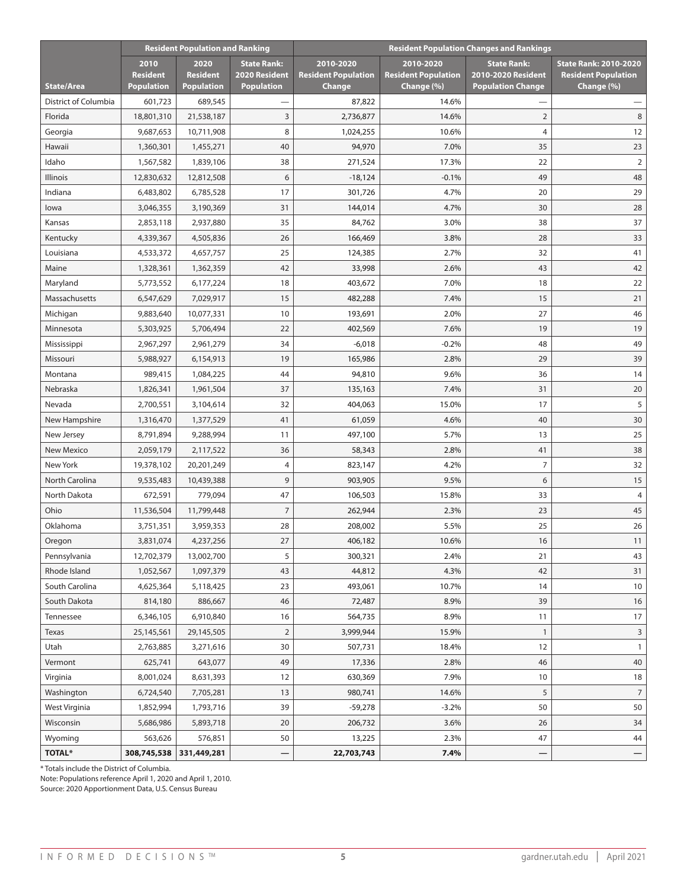|                          |                                              | <b>Resident Population and Ranking</b>       |                                                          | <b>Resident Population Changes and Rankings</b>   |                                                       |                                                                      |                                                                          |  |
|--------------------------|----------------------------------------------|----------------------------------------------|----------------------------------------------------------|---------------------------------------------------|-------------------------------------------------------|----------------------------------------------------------------------|--------------------------------------------------------------------------|--|
| <b>State/Area</b>        | 2010<br><b>Resident</b><br><b>Population</b> | 2020<br><b>Resident</b><br><b>Population</b> | <b>State Rank:</b><br>2020 Resident<br><b>Population</b> | 2010-2020<br><b>Resident Population</b><br>Change | 2010-2020<br><b>Resident Population</b><br>Change (%) | <b>State Rank:</b><br>2010-2020 Resident<br><b>Population Change</b> | <b>State Rank: 2010-2020</b><br><b>Resident Population</b><br>Change (%) |  |
| District of Columbia     | 601,723                                      | 689,545                                      |                                                          | 87,822                                            | 14.6%                                                 |                                                                      |                                                                          |  |
| Florida                  | 18,801,310                                   | 21,538,187                                   | 3                                                        | 2,736,877                                         | 14.6%                                                 | $\overline{2}$                                                       | 8                                                                        |  |
| Georgia                  | 9,687,653                                    | 10,711,908                                   | 8                                                        | 1,024,255                                         | 10.6%                                                 | $\overline{4}$                                                       | 12                                                                       |  |
| Hawaii                   | 1,360,301                                    | 1,455,271                                    | 40                                                       | 94,970                                            | 7.0%                                                  | 35                                                                   | 23                                                                       |  |
| Idaho                    | 1,567,582                                    | 1,839,106                                    | 38                                                       | 271,524                                           | 17.3%                                                 | 22                                                                   | $\overline{2}$                                                           |  |
| Illinois                 | 12,830,632                                   | 12,812,508                                   | 6                                                        | $-18,124$                                         | $-0.1%$                                               | 49                                                                   | 48                                                                       |  |
| Indiana                  | 6,483,802                                    | 6,785,528                                    | 17                                                       | 301,726                                           | 4.7%                                                  | 20                                                                   | 29                                                                       |  |
| lowa                     | 3,046,355                                    | 3,190,369                                    | 31                                                       | 144,014                                           | 4.7%                                                  | 30                                                                   | 28                                                                       |  |
| Kansas                   | 2,853,118                                    | 2,937,880                                    | 35                                                       | 84,762                                            | 3.0%                                                  | 38                                                                   | 37                                                                       |  |
| Kentucky                 | 4,339,367                                    | 4,505,836                                    | 26                                                       | 166,469                                           | 3.8%                                                  | 28                                                                   | 33                                                                       |  |
| Louisiana                | 4,533,372                                    | 4,657,757                                    | 25                                                       | 124,385                                           | 2.7%                                                  | 32                                                                   | 41                                                                       |  |
| Maine                    | 1,328,361                                    | 1,362,359                                    | 42                                                       | 33,998                                            | 2.6%                                                  | 43                                                                   | 42                                                                       |  |
| Maryland                 | 5,773,552                                    | 6,177,224                                    | 18                                                       | 403,672                                           | 7.0%                                                  | 18                                                                   | 22                                                                       |  |
| Massachusetts            | 6,547,629                                    | 7,029,917                                    | 15                                                       | 482,288                                           | 7.4%                                                  | 15                                                                   | 21                                                                       |  |
| Michigan                 | 9,883,640                                    | 10,077,331                                   | 10                                                       | 193,691                                           | 2.0%                                                  | 27                                                                   | 46                                                                       |  |
| Minnesota                | 5,303,925                                    | 5,706,494                                    | 22                                                       | 402,569                                           | 7.6%                                                  | 19                                                                   | 19                                                                       |  |
| Mississippi              | 2,967,297                                    | 2,961,279                                    | 34                                                       | $-6,018$                                          | $-0.2%$                                               | 48                                                                   | 49                                                                       |  |
| Missouri                 | 5,988,927                                    | 6,154,913                                    | 19                                                       | 165,986                                           | 2.8%                                                  | 29                                                                   | 39                                                                       |  |
| Montana                  | 989,415                                      | 1,084,225                                    | 44                                                       | 94,810                                            | 9.6%                                                  | 36                                                                   | 14                                                                       |  |
| Nebraska                 | 1,826,341                                    | 1,961,504                                    | 37                                                       | 135,163                                           | 7.4%                                                  | 31                                                                   | 20                                                                       |  |
| Nevada                   | 2,700,551                                    | 3,104,614                                    | 32                                                       | 404,063                                           | 15.0%                                                 | 17                                                                   | 5                                                                        |  |
| New Hampshire            | 1,316,470                                    | 1,377,529                                    | 41                                                       | 61,059                                            | 4.6%                                                  | 40                                                                   | 30                                                                       |  |
| New Jersey               | 8,791,894                                    | 9,288,994                                    | 11                                                       | 497,100                                           | 5.7%                                                  | 13                                                                   | 25                                                                       |  |
| <b>New Mexico</b>        | 2,059,179                                    | 2,117,522                                    | 36                                                       | 58,343                                            | 2.8%                                                  | 41                                                                   | 38                                                                       |  |
| New York                 | 19,378,102                                   | 20,201,249                                   | 4                                                        | 823,147                                           | 4.2%                                                  | $\overline{7}$                                                       | 32                                                                       |  |
| <b>North Carolina</b>    | 9,535,483                                    | 10,439,388                                   | 9                                                        | 903,905                                           | 9.5%                                                  | 6                                                                    | $15\,$                                                                   |  |
| North Dakota             | 672,591                                      | 779,094                                      | 47                                                       | 106,503                                           | 15.8%                                                 | 33                                                                   | 4                                                                        |  |
| Ohio                     | 11,536,504                                   | 11,799,448                                   | $\overline{7}$                                           | 262,944                                           | 2.3%                                                  | 23                                                                   | 45                                                                       |  |
| Oklahoma                 | 3,751,351                                    | 3,959,353                                    | 28                                                       | 208,002                                           | 5.5%                                                  | 25                                                                   | 26                                                                       |  |
| Oregon                   | 3,831,074                                    | 4,237,256                                    | 27                                                       | 406,182                                           | 10.6%                                                 | 16                                                                   | 11                                                                       |  |
| Pennsylvania             | 12,702,379                                   | 13,002,700                                   | 5                                                        | 300,321                                           | 2.4%                                                  | 21                                                                   | 43                                                                       |  |
| Rhode Island             | 1,052,567                                    | 1,097,379                                    | 43                                                       | 44,812                                            | 4.3%                                                  | 42                                                                   | 31                                                                       |  |
| South Carolina           | 4,625,364                                    | 5,118,425                                    | 23                                                       | 493,061                                           | 10.7%                                                 | 14                                                                   | 10                                                                       |  |
| South Dakota             | 814,180                                      | 886,667                                      | 46                                                       | 72,487                                            | 8.9%                                                  | 39                                                                   | 16                                                                       |  |
| Tennessee                | 6,346,105                                    | 6,910,840                                    | 16                                                       | 564,735                                           | 8.9%                                                  | 11                                                                   | 17                                                                       |  |
| Texas                    | 25,145,561                                   | 29,145,505                                   | $\overline{2}$                                           | 3,999,944                                         | 15.9%                                                 | $\mathbf{1}$                                                         | 3                                                                        |  |
| Utah                     | 2,763,885                                    | 3,271,616                                    | 30                                                       | 507,731                                           | 18.4%                                                 | 12                                                                   | $\mathbf{1}$                                                             |  |
| Vermont                  | 625,741                                      | 643,077                                      | 49                                                       | 17,336                                            | 2.8%                                                  | 46                                                                   | 40                                                                       |  |
| Virginia                 | 8,001,024                                    | 8,631,393                                    | 12                                                       | 630,369                                           | 7.9%                                                  | 10                                                                   | 18                                                                       |  |
| Washington               | 6,724,540                                    | 7,705,281                                    | 13                                                       | 980,741                                           | 14.6%                                                 | 5                                                                    | 7                                                                        |  |
| West Virginia            | 1,852,994                                    | 1,793,716                                    | 39                                                       | $-59,278$                                         | $-3.2%$                                               | 50                                                                   | 50                                                                       |  |
| Wisconsin                | 5,686,986                                    | 5,893,718                                    | 20                                                       | 206,732                                           | 3.6%                                                  | 26<br>47                                                             | $34\,$                                                                   |  |
| Wyoming<br><b>TOTAL*</b> | 563,626                                      | 576,851                                      | 50                                                       | 13,225                                            | 2.3%                                                  |                                                                      | 44                                                                       |  |
|                          | 308,745,538                                  | 331,449,281                                  |                                                          | 22,703,743                                        | 7.4%                                                  |                                                                      |                                                                          |  |

\* Totals include the District of Columbia.

Note: Populations reference April 1, 2020 and April 1, 2010.

Source: 2020 Apportionment Data, U.S. Census Bureau